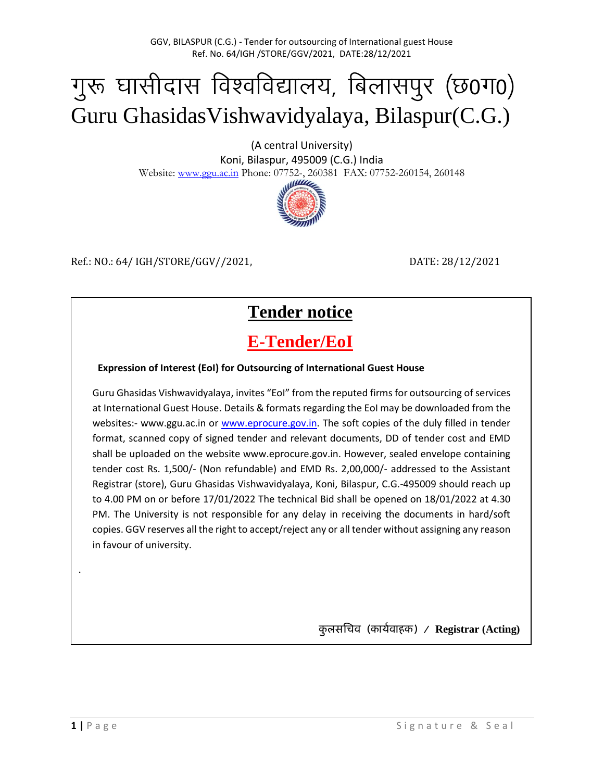# गुरू घासीदास विश्वविद्यालय, बिलासपुर (छ0ग0) Guru GhasidasVishwavidyalaya, Bilaspur(C.G.)

(A central University) Koni, Bilaspur, 495009 (C.G.) India Website: www.ggu.ac.in Phone: 07752-, 260381 FAX: 07752-260154, 260148



Ref.: NO.: 64/ IGH/STORE/GGV//2021, DATE: 28/12/2021

# **Tender notice**

## **E-Tender/EoI**

#### **Expression of Interest (EoI) for Outsourcing of International Guest House**

Guru Ghasidas Vishwavidyalaya, invites "EoI" from the reputed firms for outsourcing of services at International Guest House. Details & formats regarding the EoI may be downloaded from the websites:- www.ggu.ac.in or [www.eprocure.gov.in.](http://www.eprocure.gov.in/) The soft copies of the duly filled in tender format, scanned copy of signed tender and relevant documents, DD of tender cost and EMD shall be uploaded on the website www.eprocure.gov.in. However, sealed envelope containing tender cost Rs. 1,500/- (Non refundable) and EMD Rs. 2,00,000/- addressed to the Assistant Registrar (store), Guru Ghasidas Vishwavidyalaya, Koni, Bilaspur, C.G.-495009 should reach up to 4.00 PM on or before 17/01/2022 The technical Bid shall be opened on 18/01/2022 at 4.30 PM. The University is not responsible for any delay in receiving the documents in hard/soft copies. GGV reserves all the right to accept/reject any or all tender without assigning any reason in favour of university.

कु लसचिव (कार्यवाहक) / **Registrar (Acting)**

.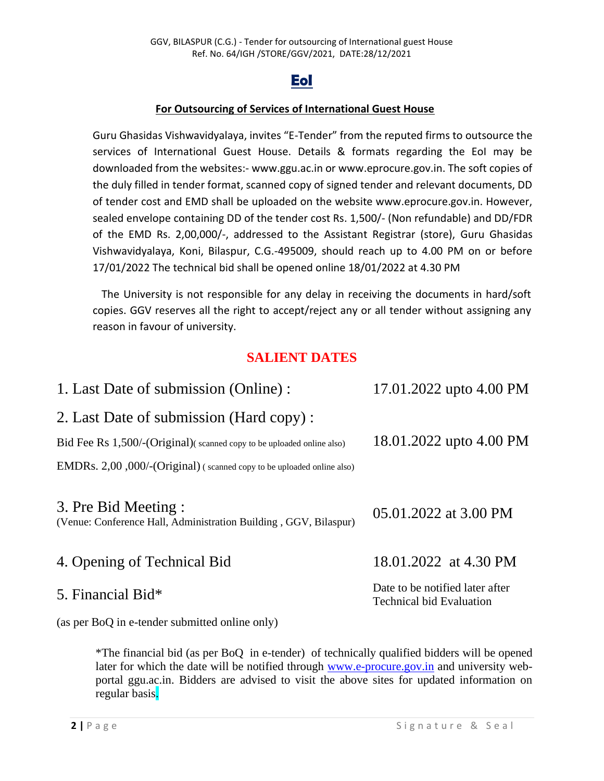## **EoI**

#### **For Outsourcing of Services of International Guest House**

Guru Ghasidas Vishwavidyalaya, invites "E-Tender" from the reputed firms to outsource the services of International Guest House. Details & formats regarding the EoI may be downloaded from the websites:- www.ggu.ac.in or www.eprocure.gov.in. The soft copies of the duly filled in tender format, scanned copy of signed tender and relevant documents, DD of tender cost and EMD shall be uploaded on the website www.eprocure.gov.in. However, sealed envelope containing DD of the tender cost Rs. 1,500/- (Non refundable) and DD/FDR of the EMD Rs. 2,00,000/-, addressed to the Assistant Registrar (store), Guru Ghasidas Vishwavidyalaya, Koni, Bilaspur, C.G.-495009, should reach up to 4.00 PM on or before 17/01/2022 The technical bid shall be opened online 18/01/2022 at 4.30 PM

The University is not responsible for any delay in receiving the documents in hard/soft copies. GGV reserves all the right to accept/reject any or all tender without assigning any reason in favour of university.

## **SALIENT DATES**

| 1. Last Date of submission (Online):                                                     | 17.01.2022 upto 4.00 PM                                     |  |  |  |
|------------------------------------------------------------------------------------------|-------------------------------------------------------------|--|--|--|
| 2. Last Date of submission (Hard copy):                                                  |                                                             |  |  |  |
| Bid Fee Rs 1,500/-(Original) (scanned copy to be uploaded online also)                   | 18.01.2022 upto 4.00 PM                                     |  |  |  |
| EMDRs. 2,00 ,000/-(Original) (scanned copy to be uploaded online also)                   |                                                             |  |  |  |
| 3. Pre Bid Meeting :<br>(Venue: Conference Hall, Administration Building, GGV, Bilaspur) | 05.01.2022 at 3.00 PM                                       |  |  |  |
| 4. Opening of Technical Bid                                                              | 18.01.2022 at 4.30 PM                                       |  |  |  |
| 5. Financial Bid*                                                                        | Date to be notified later after<br>Technical bid Evaluation |  |  |  |

(as per BoQ in e-tender submitted online only)

\*The financial bid (as per BoQ in e-tender) of technically qualified bidders will be opened later for which the date will be notified through [www.e-procure.gov.in](http://www.e-procure.gov.in/) and university webportal ggu.ac.in. Bidders are advised to visit the above sites for updated information on regular basis.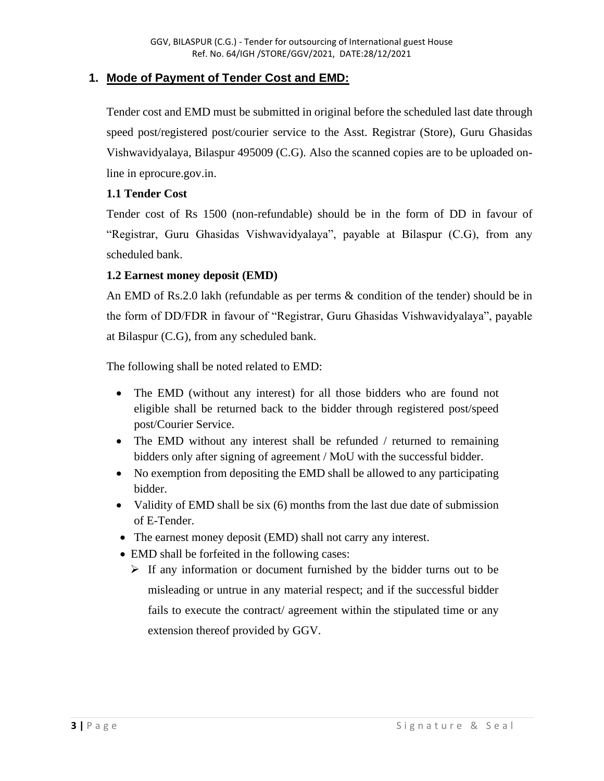## **1. Mode of Payment of Tender Cost and EMD:**

Tender cost and EMD must be submitted in original before the scheduled last date through speed post/registered post/courier service to the Asst. Registrar (Store), Guru Ghasidas Vishwavidyalaya, Bilaspur 495009 (C.G). Also the scanned copies are to be uploaded online in eprocure.gov.in.

#### **1.1 Tender Cost**

Tender cost of Rs 1500 (non-refundable) should be in the form of DD in favour of "Registrar, Guru Ghasidas Vishwavidyalaya", payable at Bilaspur (C.G), from any scheduled bank.

#### **1.2 Earnest money deposit (EMD)**

An EMD of Rs.2.0 lakh (refundable as per terms & condition of the tender) should be in the form of DD/FDR in favour of "Registrar, Guru Ghasidas Vishwavidyalaya", payable at Bilaspur (C.G), from any scheduled bank.

The following shall be noted related to EMD:

- The EMD (without any interest) for all those bidders who are found not eligible shall be returned back to the bidder through registered post/speed post/Courier Service.
- The EMD without any interest shall be refunded / returned to remaining bidders only after signing of agreement / MoU with the successful bidder.
- No exemption from depositing the EMD shall be allowed to any participating bidder.
- Validity of EMD shall be six (6) months from the last due date of submission of E-Tender.
- The earnest money deposit (EMD) shall not carry any interest.
- EMD shall be forfeited in the following cases:
	- ➢ If any information or document furnished by the bidder turns out to be misleading or untrue in any material respect; and if the successful bidder fails to execute the contract/ agreement within the stipulated time or any extension thereof provided by GGV.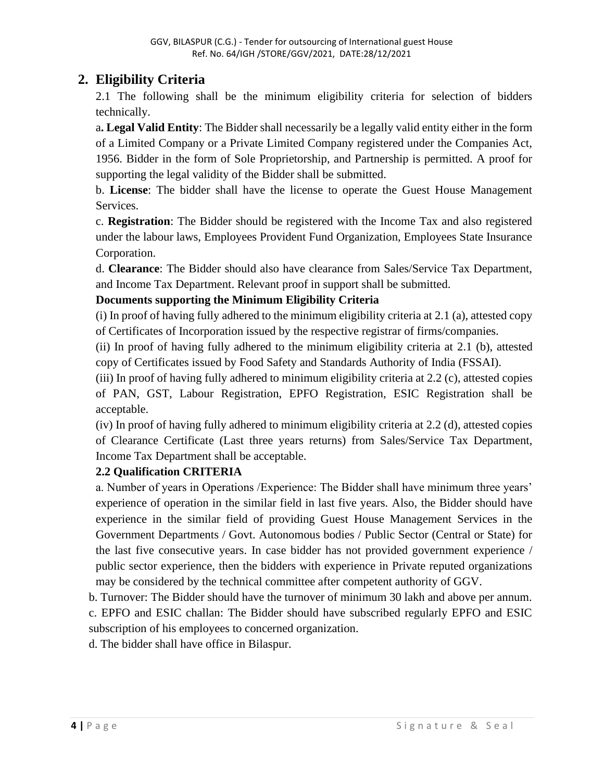## **2. Eligibility Criteria**

2.1 The following shall be the minimum eligibility criteria for selection of bidders technically.

a**. Legal Valid Entity**: The Bidder shall necessarily be a legally valid entity either in the form of a Limited Company or a Private Limited Company registered under the Companies Act, 1956. Bidder in the form of Sole Proprietorship, and Partnership is permitted. A proof for supporting the legal validity of the Bidder shall be submitted.

b. **License**: The bidder shall have the license to operate the Guest House Management Services.

c. **Registration**: The Bidder should be registered with the Income Tax and also registered under the labour laws, Employees Provident Fund Organization, Employees State Insurance Corporation.

d. **Clearance**: The Bidder should also have clearance from Sales/Service Tax Department, and Income Tax Department. Relevant proof in support shall be submitted.

## **Documents supporting the Minimum Eligibility Criteria**

(i) In proof of having fully adhered to the minimum eligibility criteria at 2.1 (a), attested copy of Certificates of Incorporation issued by the respective registrar of firms/companies.

(ii) In proof of having fully adhered to the minimum eligibility criteria at 2.1 (b), attested copy of Certificates issued by Food Safety and Standards Authority of India (FSSAI).

(iii) In proof of having fully adhered to minimum eligibility criteria at 2.2 (c), attested copies of PAN, GST, Labour Registration, EPFO Registration, ESIC Registration shall be acceptable.

(iv) In proof of having fully adhered to minimum eligibility criteria at 2.2 (d), attested copies of Clearance Certificate (Last three years returns) from Sales/Service Tax Department, Income Tax Department shall be acceptable.

## **2.2 Qualification CRITERIA**

a. Number of years in Operations /Experience: The Bidder shall have minimum three years' experience of operation in the similar field in last five years. Also, the Bidder should have experience in the similar field of providing Guest House Management Services in the Government Departments / Govt. Autonomous bodies / Public Sector (Central or State) for the last five consecutive years. In case bidder has not provided government experience / public sector experience, then the bidders with experience in Private reputed organizations may be considered by the technical committee after competent authority of GGV.

b. Turnover: The Bidder should have the turnover of minimum 30 lakh and above per annum. c. EPFO and ESIC challan: The Bidder should have subscribed regularly EPFO and ESIC subscription of his employees to concerned organization.

d. The bidder shall have office in Bilaspur.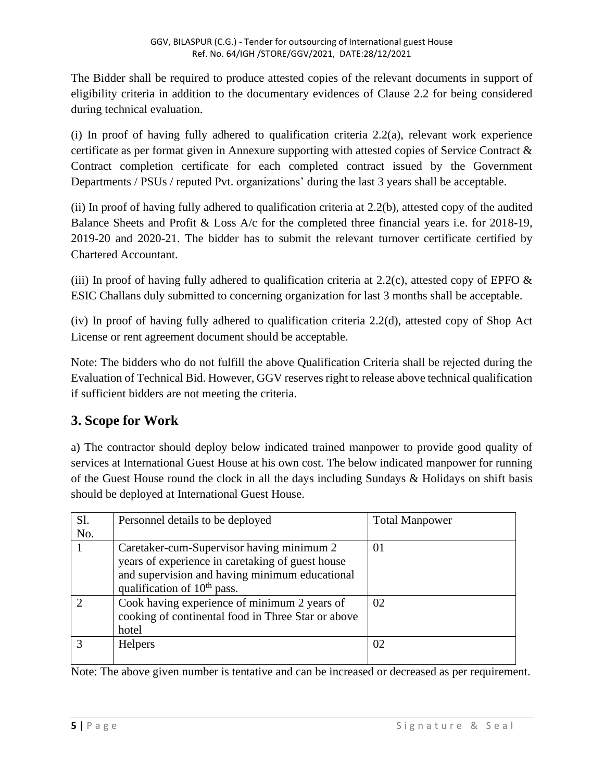The Bidder shall be required to produce attested copies of the relevant documents in support of eligibility criteria in addition to the documentary evidences of Clause 2.2 for being considered during technical evaluation.

(i) In proof of having fully adhered to qualification criteria 2.2(a), relevant work experience certificate as per format given in Annexure supporting with attested copies of Service Contract & Contract completion certificate for each completed contract issued by the Government Departments / PSUs / reputed Pvt. organizations' during the last 3 years shall be acceptable.

(ii) In proof of having fully adhered to qualification criteria at 2.2(b), attested copy of the audited Balance Sheets and Profit & Loss A/c for the completed three financial years i.e. for 2018-19, 2019-20 and 2020-21. The bidder has to submit the relevant turnover certificate certified by Chartered Accountant.

(iii) In proof of having fully adhered to qualification criteria at  $2.2(c)$ , attested copy of EPFO  $\&$ ESIC Challans duly submitted to concerning organization for last 3 months shall be acceptable.

(iv) In proof of having fully adhered to qualification criteria 2.2(d), attested copy of Shop Act License or rent agreement document should be acceptable.

Note: The bidders who do not fulfill the above Qualification Criteria shall be rejected during the Evaluation of Technical Bid. However, GGV reserves right to release above technical qualification if sufficient bidders are not meeting the criteria.

## **3. Scope for Work**

a) The contractor should deploy below indicated trained manpower to provide good quality of services at International Guest House at his own cost. The below indicated manpower for running of the Guest House round the clock in all the days including Sundays & Holidays on shift basis should be deployed at International Guest House.

| Sl. | Personnel details to be deployed                   | <b>Total Manpower</b> |
|-----|----------------------------------------------------|-----------------------|
| No. |                                                    |                       |
|     | Caretaker-cum-Supervisor having minimum 2          | 01                    |
|     | years of experience in caretaking of guest house   |                       |
|     | and supervision and having minimum educational     |                       |
|     | qualification of $10^{th}$ pass.                   |                       |
|     | Cook having experience of minimum 2 years of       | 02                    |
|     | cooking of continental food in Three Star or above |                       |
|     | hotel                                              |                       |
|     | Helpers                                            | 02                    |
|     |                                                    |                       |

Note: The above given number is tentative and can be increased or decreased as per requirement.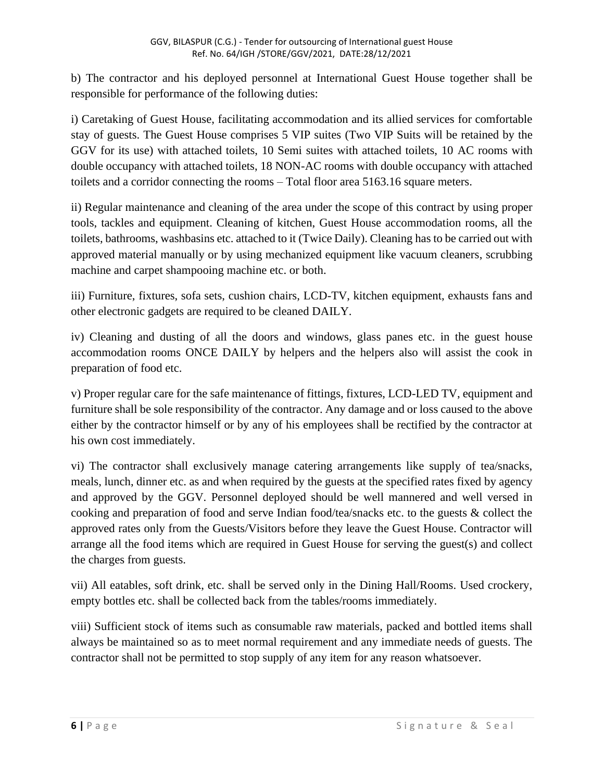b) The contractor and his deployed personnel at International Guest House together shall be responsible for performance of the following duties:

i) Caretaking of Guest House, facilitating accommodation and its allied services for comfortable stay of guests. The Guest House comprises 5 VIP suites (Two VIP Suits will be retained by the GGV for its use) with attached toilets, 10 Semi suites with attached toilets, 10 AC rooms with double occupancy with attached toilets, 18 NON-AC rooms with double occupancy with attached toilets and a corridor connecting the rooms – Total floor area 5163.16 square meters.

ii) Regular maintenance and cleaning of the area under the scope of this contract by using proper tools, tackles and equipment. Cleaning of kitchen, Guest House accommodation rooms, all the toilets, bathrooms, washbasins etc. attached to it (Twice Daily). Cleaning has to be carried out with approved material manually or by using mechanized equipment like vacuum cleaners, scrubbing machine and carpet shampooing machine etc. or both.

iii) Furniture, fixtures, sofa sets, cushion chairs, LCD-TV, kitchen equipment, exhausts fans and other electronic gadgets are required to be cleaned DAILY.

iv) Cleaning and dusting of all the doors and windows, glass panes etc. in the guest house accommodation rooms ONCE DAILY by helpers and the helpers also will assist the cook in preparation of food etc.

v) Proper regular care for the safe maintenance of fittings, fixtures, LCD-LED TV, equipment and furniture shall be sole responsibility of the contractor. Any damage and or loss caused to the above either by the contractor himself or by any of his employees shall be rectified by the contractor at his own cost immediately.

vi) The contractor shall exclusively manage catering arrangements like supply of tea/snacks, meals, lunch, dinner etc. as and when required by the guests at the specified rates fixed by agency and approved by the GGV. Personnel deployed should be well mannered and well versed in cooking and preparation of food and serve Indian food/tea/snacks etc. to the guests & collect the approved rates only from the Guests/Visitors before they leave the Guest House. Contractor will arrange all the food items which are required in Guest House for serving the guest(s) and collect the charges from guests.

vii) All eatables, soft drink, etc. shall be served only in the Dining Hall/Rooms. Used crockery, empty bottles etc. shall be collected back from the tables/rooms immediately.

viii) Sufficient stock of items such as consumable raw materials, packed and bottled items shall always be maintained so as to meet normal requirement and any immediate needs of guests. The contractor shall not be permitted to stop supply of any item for any reason whatsoever.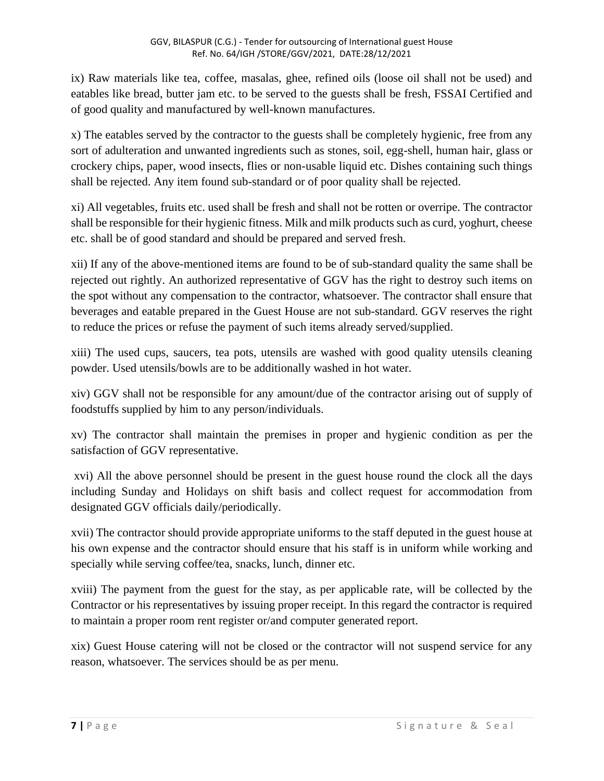ix) Raw materials like tea, coffee, masalas, ghee, refined oils (loose oil shall not be used) and eatables like bread, butter jam etc. to be served to the guests shall be fresh, FSSAI Certified and of good quality and manufactured by well-known manufactures.

x) The eatables served by the contractor to the guests shall be completely hygienic, free from any sort of adulteration and unwanted ingredients such as stones, soil, egg-shell, human hair, glass or crockery chips, paper, wood insects, flies or non-usable liquid etc. Dishes containing such things shall be rejected. Any item found sub-standard or of poor quality shall be rejected.

xi) All vegetables, fruits etc. used shall be fresh and shall not be rotten or overripe. The contractor shall be responsible for their hygienic fitness. Milk and milk products such as curd, yoghurt, cheese etc. shall be of good standard and should be prepared and served fresh.

xii) If any of the above-mentioned items are found to be of sub-standard quality the same shall be rejected out rightly. An authorized representative of GGV has the right to destroy such items on the spot without any compensation to the contractor, whatsoever. The contractor shall ensure that beverages and eatable prepared in the Guest House are not sub-standard. GGV reserves the right to reduce the prices or refuse the payment of such items already served/supplied.

xiii) The used cups, saucers, tea pots, utensils are washed with good quality utensils cleaning powder. Used utensils/bowls are to be additionally washed in hot water.

xiv) GGV shall not be responsible for any amount/due of the contractor arising out of supply of foodstuffs supplied by him to any person/individuals.

xv) The contractor shall maintain the premises in proper and hygienic condition as per the satisfaction of GGV representative.

xvi) All the above personnel should be present in the guest house round the clock all the days including Sunday and Holidays on shift basis and collect request for accommodation from designated GGV officials daily/periodically.

xvii) The contractor should provide appropriate uniforms to the staff deputed in the guest house at his own expense and the contractor should ensure that his staff is in uniform while working and specially while serving coffee/tea, snacks, lunch, dinner etc.

xviii) The payment from the guest for the stay, as per applicable rate, will be collected by the Contractor or his representatives by issuing proper receipt. In this regard the contractor is required to maintain a proper room rent register or/and computer generated report.

xix) Guest House catering will not be closed or the contractor will not suspend service for any reason, whatsoever. The services should be as per menu.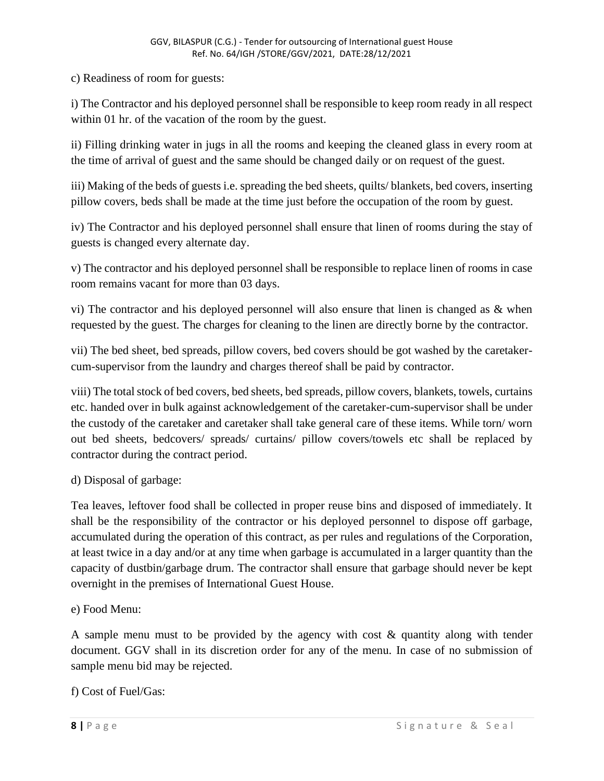c) Readiness of room for guests:

i) The Contractor and his deployed personnel shall be responsible to keep room ready in all respect within 01 hr. of the vacation of the room by the guest.

ii) Filling drinking water in jugs in all the rooms and keeping the cleaned glass in every room at the time of arrival of guest and the same should be changed daily or on request of the guest.

iii) Making of the beds of guests i.e. spreading the bed sheets, quilts/ blankets, bed covers, inserting pillow covers, beds shall be made at the time just before the occupation of the room by guest.

iv) The Contractor and his deployed personnel shall ensure that linen of rooms during the stay of guests is changed every alternate day.

v) The contractor and his deployed personnel shall be responsible to replace linen of rooms in case room remains vacant for more than 03 days.

vi) The contractor and his deployed personnel will also ensure that linen is changed as & when requested by the guest. The charges for cleaning to the linen are directly borne by the contractor.

vii) The bed sheet, bed spreads, pillow covers, bed covers should be got washed by the caretakercum-supervisor from the laundry and charges thereof shall be paid by contractor.

viii) The total stock of bed covers, bed sheets, bed spreads, pillow covers, blankets, towels, curtains etc. handed over in bulk against acknowledgement of the caretaker-cum-supervisor shall be under the custody of the caretaker and caretaker shall take general care of these items. While torn/ worn out bed sheets, bedcovers/ spreads/ curtains/ pillow covers/towels etc shall be replaced by contractor during the contract period.

d) Disposal of garbage:

Tea leaves, leftover food shall be collected in proper reuse bins and disposed of immediately. It shall be the responsibility of the contractor or his deployed personnel to dispose off garbage, accumulated during the operation of this contract, as per rules and regulations of the Corporation, at least twice in a day and/or at any time when garbage is accumulated in a larger quantity than the capacity of dustbin/garbage drum. The contractor shall ensure that garbage should never be kept overnight in the premises of International Guest House.

e) Food Menu:

A sample menu must to be provided by the agency with cost & quantity along with tender document. GGV shall in its discretion order for any of the menu. In case of no submission of sample menu bid may be rejected.

f) Cost of Fuel/Gas: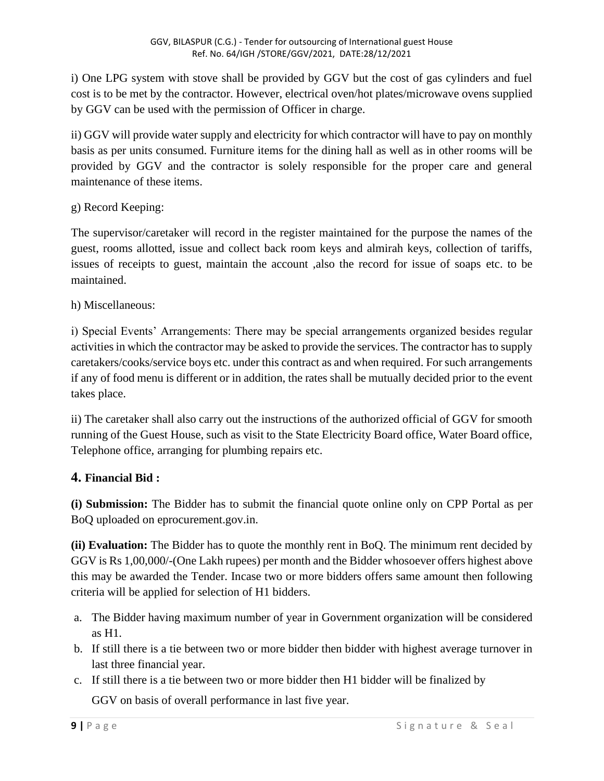i) One LPG system with stove shall be provided by GGV but the cost of gas cylinders and fuel cost is to be met by the contractor. However, electrical oven/hot plates/microwave ovens supplied by GGV can be used with the permission of Officer in charge.

ii) GGV will provide water supply and electricity for which contractor will have to pay on monthly basis as per units consumed. Furniture items for the dining hall as well as in other rooms will be provided by GGV and the contractor is solely responsible for the proper care and general maintenance of these items.

#### g) Record Keeping:

The supervisor/caretaker will record in the register maintained for the purpose the names of the guest, rooms allotted, issue and collect back room keys and almirah keys, collection of tariffs, issues of receipts to guest, maintain the account ,also the record for issue of soaps etc. to be maintained.

#### h) Miscellaneous:

i) Special Events' Arrangements: There may be special arrangements organized besides regular activities in which the contractor may be asked to provide the services. The contractor has to supply caretakers/cooks/service boys etc. under this contract as and when required. For such arrangements if any of food menu is different or in addition, the rates shall be mutually decided prior to the event takes place.

ii) The caretaker shall also carry out the instructions of the authorized official of GGV for smooth running of the Guest House, such as visit to the State Electricity Board office, Water Board office, Telephone office, arranging for plumbing repairs etc.

## **4. Financial Bid :**

**(i) Submission:** The Bidder has to submit the financial quote online only on CPP Portal as per BoQ uploaded on eprocurement.gov.in.

**(ii) Evaluation:** The Bidder has to quote the monthly rent in BoQ. The minimum rent decided by GGV is Rs 1,00,000/-(One Lakh rupees) per month and the Bidder whosoever offers highest above this may be awarded the Tender. Incase two or more bidders offers same amount then following criteria will be applied for selection of H1 bidders.

- a. The Bidder having maximum number of year in Government organization will be considered as H1.
- b. If still there is a tie between two or more bidder then bidder with highest average turnover in last three financial year.
- c. If still there is a tie between two or more bidder then H1 bidder will be finalized by

GGV on basis of overall performance in last five year.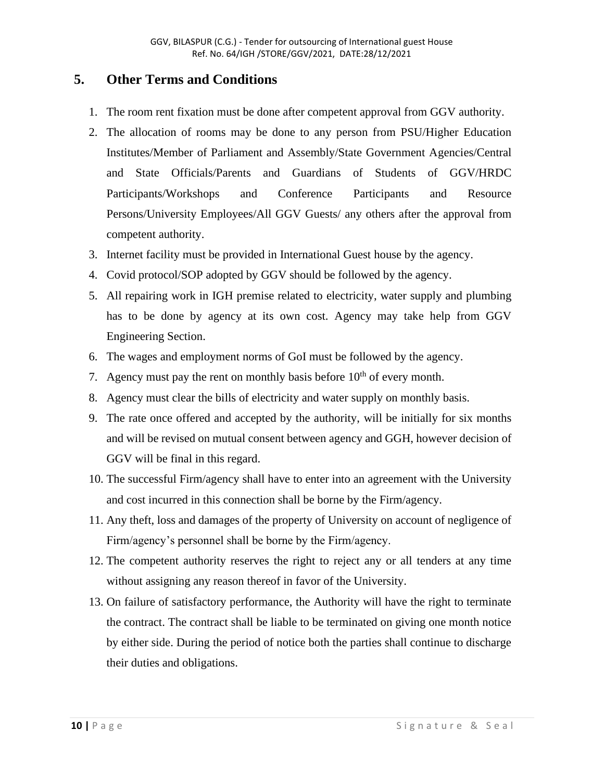## **5. Other Terms and Conditions**

- 1. The room rent fixation must be done after competent approval from GGV authority.
- 2. The allocation of rooms may be done to any person from PSU/Higher Education Institutes/Member of Parliament and Assembly/State Government Agencies/Central and State Officials/Parents and Guardians of Students of GGV/HRDC Participants/Workshops and Conference Participants and Resource Persons/University Employees/All GGV Guests/ any others after the approval from competent authority.
- 3. Internet facility must be provided in International Guest house by the agency.
- 4. Covid protocol/SOP adopted by GGV should be followed by the agency.
- 5. All repairing work in IGH premise related to electricity, water supply and plumbing has to be done by agency at its own cost. Agency may take help from GGV Engineering Section.
- 6. The wages and employment norms of GoI must be followed by the agency.
- 7. Agency must pay the rent on monthly basis before  $10<sup>th</sup>$  of every month.
- 8. Agency must clear the bills of electricity and water supply on monthly basis.
- 9. The rate once offered and accepted by the authority, will be initially for six months and will be revised on mutual consent between agency and GGH, however decision of GGV will be final in this regard.
- 10. The successful Firm/agency shall have to enter into an agreement with the University and cost incurred in this connection shall be borne by the Firm/agency.
- 11. Any theft, loss and damages of the property of University on account of negligence of Firm/agency's personnel shall be borne by the Firm/agency.
- 12. The competent authority reserves the right to reject any or all tenders at any time without assigning any reason thereof in favor of the University.
- 13. On failure of satisfactory performance, the Authority will have the right to terminate the contract. The contract shall be liable to be terminated on giving one month notice by either side. During the period of notice both the parties shall continue to discharge their duties and obligations.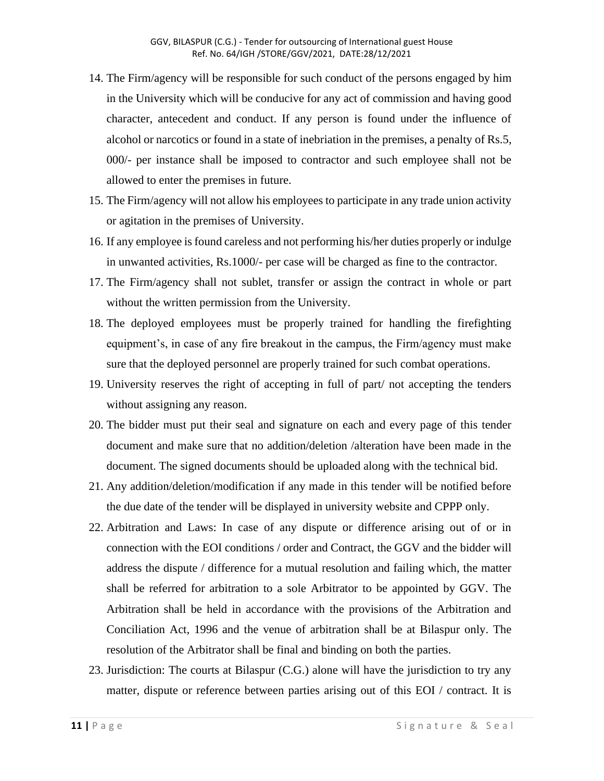- 14. The Firm/agency will be responsible for such conduct of the persons engaged by him in the University which will be conducive for any act of commission and having good character, antecedent and conduct. If any person is found under the influence of alcohol or narcotics or found in a state of inebriation in the premises, a penalty of Rs.5, 000/- per instance shall be imposed to contractor and such employee shall not be allowed to enter the premises in future.
- 15. The Firm/agency will not allow his employees to participate in any trade union activity or agitation in the premises of University.
- 16. If any employee is found careless and not performing his/her duties properly or indulge in unwanted activities, Rs.1000/- per case will be charged as fine to the contractor.
- 17. The Firm/agency shall not sublet, transfer or assign the contract in whole or part without the written permission from the University.
- 18. The deployed employees must be properly trained for handling the firefighting equipment's, in case of any fire breakout in the campus, the Firm/agency must make sure that the deployed personnel are properly trained for such combat operations.
- 19. University reserves the right of accepting in full of part/ not accepting the tenders without assigning any reason.
- 20. The bidder must put their seal and signature on each and every page of this tender document and make sure that no addition/deletion /alteration have been made in the document. The signed documents should be uploaded along with the technical bid.
- 21. Any addition/deletion/modification if any made in this tender will be notified before the due date of the tender will be displayed in university website and CPPP only.
- 22. Arbitration and Laws: In case of any dispute or difference arising out of or in connection with the EOI conditions / order and Contract, the GGV and the bidder will address the dispute / difference for a mutual resolution and failing which, the matter shall be referred for arbitration to a sole Arbitrator to be appointed by GGV. The Arbitration shall be held in accordance with the provisions of the Arbitration and Conciliation Act, 1996 and the venue of arbitration shall be at Bilaspur only. The resolution of the Arbitrator shall be final and binding on both the parties.
- 23. Jurisdiction: The courts at Bilaspur (C.G.) alone will have the jurisdiction to try any matter, dispute or reference between parties arising out of this EOI / contract. It is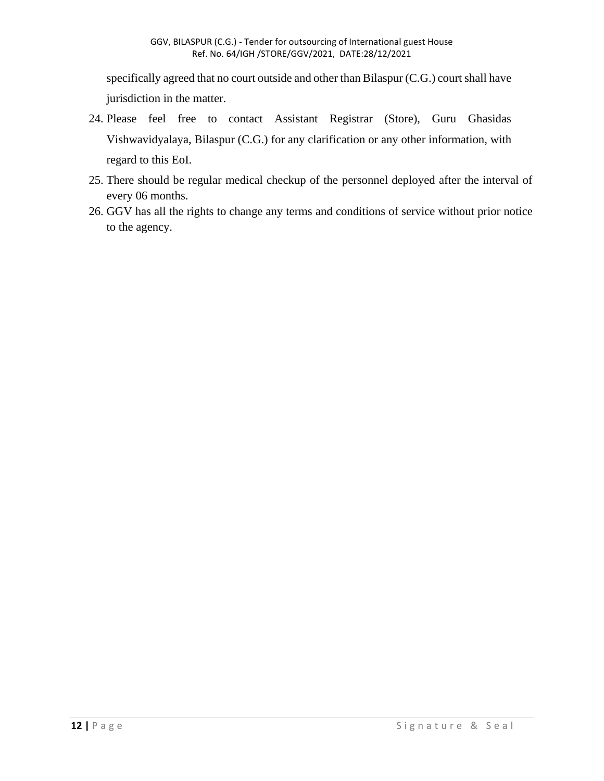specifically agreed that no court outside and other than Bilaspur (C.G.) court shall have jurisdiction in the matter.

- 24. Please feel free to contact Assistant Registrar (Store), Guru Ghasidas Vishwavidyalaya, Bilaspur (C.G.) for any clarification or any other information, with regard to this EoI.
- 25. There should be regular medical checkup of the personnel deployed after the interval of every 06 months.
- 26. GGV has all the rights to change any terms and conditions of service without prior notice to the agency.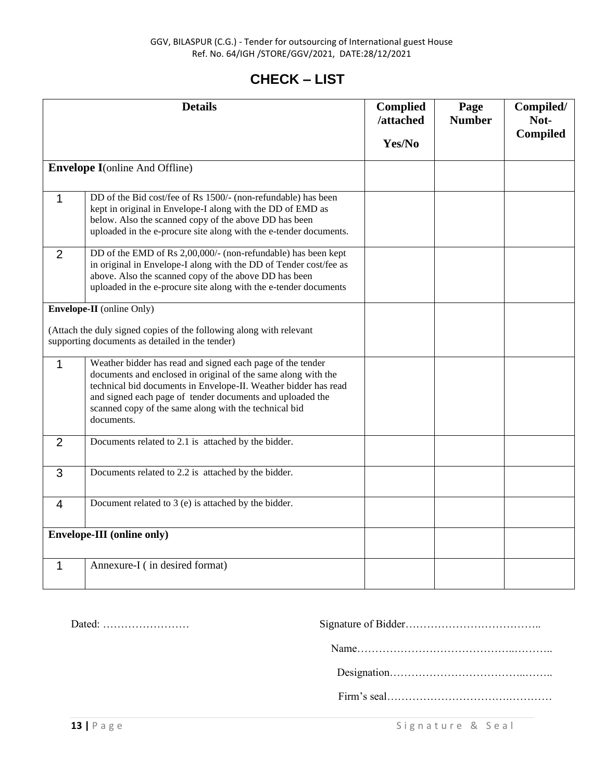## **CHECK – LIST**

|                                                                                                                                                            | <b>Details</b>                                                                                                                                                                                                                                                                                                                     | <b>Complied</b><br>/attached<br>Yes/No | Page<br><b>Number</b> | Compiled/<br>Not-<br>Compiled |
|------------------------------------------------------------------------------------------------------------------------------------------------------------|------------------------------------------------------------------------------------------------------------------------------------------------------------------------------------------------------------------------------------------------------------------------------------------------------------------------------------|----------------------------------------|-----------------------|-------------------------------|
|                                                                                                                                                            | <b>Envelope I</b> (online And Offline)                                                                                                                                                                                                                                                                                             |                                        |                       |                               |
| 1                                                                                                                                                          | DD of the Bid cost/fee of Rs 1500/- (non-refundable) has been<br>kept in original in Envelope-I along with the DD of EMD as<br>below. Also the scanned copy of the above DD has been<br>uploaded in the e-procure site along with the e-tender documents.                                                                          |                                        |                       |                               |
| 2                                                                                                                                                          | DD of the EMD of Rs 2,00,000/- (non-refundable) has been kept<br>in original in Envelope-I along with the DD of Tender cost/fee as<br>above. Also the scanned copy of the above DD has been<br>uploaded in the e-procure site along with the e-tender documents                                                                    |                                        |                       |                               |
| <b>Envelope-II</b> (online Only)<br>(Attach the duly signed copies of the following along with relevant<br>supporting documents as detailed in the tender) |                                                                                                                                                                                                                                                                                                                                    |                                        |                       |                               |
| 1                                                                                                                                                          | Weather bidder has read and signed each page of the tender<br>documents and enclosed in original of the same along with the<br>technical bid documents in Envelope-II. Weather bidder has read<br>and signed each page of tender documents and uploaded the<br>scanned copy of the same along with the technical bid<br>documents. |                                        |                       |                               |
| 2                                                                                                                                                          | Documents related to 2.1 is attached by the bidder.                                                                                                                                                                                                                                                                                |                                        |                       |                               |
| 3                                                                                                                                                          | Documents related to 2.2 is attached by the bidder.                                                                                                                                                                                                                                                                                |                                        |                       |                               |
| $\overline{4}$                                                                                                                                             | Document related to 3 (e) is attached by the bidder.                                                                                                                                                                                                                                                                               |                                        |                       |                               |
| Envelope-III (online only)                                                                                                                                 |                                                                                                                                                                                                                                                                                                                                    |                                        |                       |                               |
| 1                                                                                                                                                          | Annexure-I (in desired format)                                                                                                                                                                                                                                                                                                     |                                        |                       |                               |

Dated: …………………… Signature of Bidder………………………………..